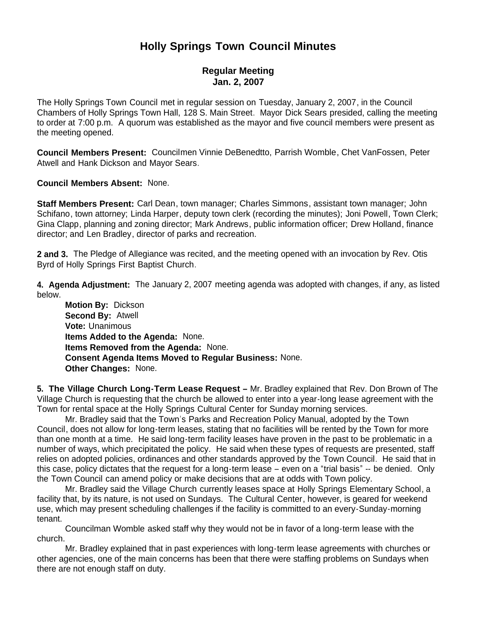## **Holly Springs Town Council Minutes**

## **Regular Meeting Jan. 2, 2007**

The Holly Springs Town Council met in regular session on Tuesday, January 2, 2007, in the Council Chambers of Holly Springs Town Hall, 128 S. Main Street. Mayor Dick Sears presided, calling the meeting to order at 7:00 p.m. A quorum was established as the mayor and five council members were present as the meeting opened.

**Council Members Present:** Councilmen Vinnie DeBenedtto, Parrish Womble, Chet VanFossen, Peter Atwell and Hank Dickson and Mayor Sears.

**Council Members Absent:** None.

**Staff Members Present:** Carl Dean, town manager; Charles Simmons, assistant town manager; John Schifano, town attorney; Linda Harper, deputy town clerk (recording the minutes); Joni Powell, Town Clerk; Gina Clapp, planning and zoning director; Mark Andrews, public information officer; Drew Holland, finance director; and Len Bradley, director of parks and recreation.

**2 and 3.** The Pledge of Allegiance was recited, and the meeting opened with an invocation by Rev. Otis Byrd of Holly Springs First Baptist Church.

**4. Agenda Adjustment:** The January 2, 2007 meeting agenda was adopted with changes, if any, as listed below.

 **Motion By:** Dickson **Second By:** Atwell **Vote:** Unanimous **Items Added to the Agenda:** None.  **Items Removed from the Agenda:** None. **Consent Agenda Items Moved to Regular Business:** None. **Other Changes:** None.

**5. The Village Church Long-Term Lease Request –** Mr. Bradley explained that Rev. Don Brown of The Village Church is requesting that the church be allowed to enter into a year-long lease agreement with the Town for rental space at the Holly Springs Cultural Center for Sunday morning services.

 Mr. Bradley said that the Town's Parks and Recreation Policy Manual, adopted by the Town Council, does not allow for long-term leases, stating that no facilities will be rented by the Town for more than one month at a time. He said long-term facility leases have proven in the past to be problematic in a number of ways, which precipitated the policy. He said when these types of requests are presented, staff relies on adopted policies, ordinances and other standards approved by the Town Council. He said that in this case, policy dictates that the request for a long-term lease – even on a "trial basis" -- be denied. Only the Town Council can amend policy or make decisions that are at odds with Town policy.

 Mr. Bradley said the Village Church currently leases space at Holly Springs Elementary School, a facility that, by its nature, is not used on Sundays. The Cultural Center, however, is geared for weekend use, which may present scheduling challenges if the facility is committed to an every-Sunday-morning tenant.

Councilman Womble asked staff why they would not be in favor of a long-term lease with the church.

Mr. Bradley explained that in past experiences with long-term lease agreements with churches or other agencies, one of the main concerns has been that there were staffing problems on Sundays when there are not enough staff on duty.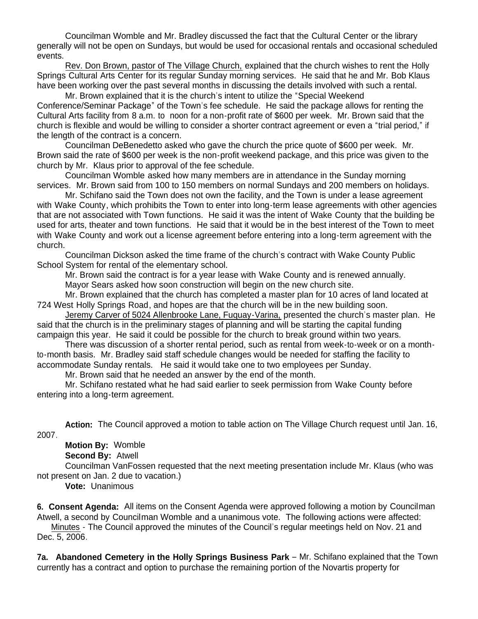Councilman Womble and Mr. Bradley discussed the fact that the Cultural Center or the library generally will not be open on Sundays, but would be used for occasional rentals and occasional scheduled events.

Rev. Don Brown, pastor of The Village Church, explained that the church wishes to rent the Holly Springs Cultural Arts Center for its regular Sunday morning services. He said that he and Mr. Bob Klaus have been working over the past several months in discussing the details involved with such a rental.

Mr. Brown explained that it is the church's intent to utilize the "Special Weekend Conference/Seminar Package" of the Town's fee schedule. He said the package allows for renting the Cultural Arts facility from 8 a.m. to noon for a non-profit rate of \$600 per week. Mr. Brown said that the church is flexible and would be willing to consider a shorter contract agreement or even a "trial period," if the length of the contract is a concern.

Councilman DeBenedetto asked who gave the church the price quote of \$600 per week. Mr. Brown said the rate of \$600 per week is the non-profit weekend package, and this price was given to the church by Mr. Klaus prior to approval of the fee schedule.

Councilman Womble asked how many members are in attendance in the Sunday morning services. Mr. Brown said from 100 to 150 members on normal Sundays and 200 members on holidays.

Mr. Schifano said the Town does not own the facility, and the Town is under a lease agreement with Wake County, which prohibits the Town to enter into long-term lease agreements with other agencies that are not associated with Town functions. He said it was the intent of Wake County that the building be used for arts, theater and town functions. He said that it would be in the best interest of the Town to meet with Wake County and work out a license agreement before entering into a long-term agreement with the church.

Councilman Dickson asked the time frame of the church's contract with Wake County Public School System for rental of the elementary school.

Mr. Brown said the contract is for a year lease with Wake County and is renewed annually.

Mayor Sears asked how soon construction will begin on the new church site.

Mr. Brown explained that the church has completed a master plan for 10 acres of land located at 724 West Holly Springs Road, and hopes are that the church will be in the new building soon.

Jeremy Carver of 5024 Allenbrooke Lane, Fuquay-Varina, presented the church's master plan. He said that the church is in the preliminary stages of planning and will be starting the capital funding campaign this year. He said it could be possible for the church to break ground within two years.

 There was discussion of a shorter rental period, such as rental from week-to-week or on a monthto-month basis. Mr. Bradley said staff schedule changes would be needed for staffing the facility to accommodate Sunday rentals. He said it would take one to two employees per Sunday.

Mr. Brown said that he needed an answer by the end of the month.

 Mr. Schifano restated what he had said earlier to seek permission from Wake County before entering into a long-term agreement.

**Action:** The Council approved a motion to table action on The Village Church request until Jan. 16, 2007.

**Motion By:** Womble

**Second By:** Atwell

 Councilman VanFossen requested that the next meeting presentation include Mr. Klaus (who was not present on Jan. 2 due to vacation.)

**Vote:** Unanimous

**6. Consent Agenda:** All items on the Consent Agenda were approved following a motion by Councilman Atwell, a second by Councilman Womble and a unanimous vote. The following actions were affected:

 Minutes - The Council approved the minutes of the Council's regular meetings held on Nov. 21 and Dec. 5, 2006.

**7a. Abandoned Cemetery in the Holly Springs Business Park** – Mr. Schifano explained that the Town currently has a contract and option to purchase the remaining portion of the Novartis property for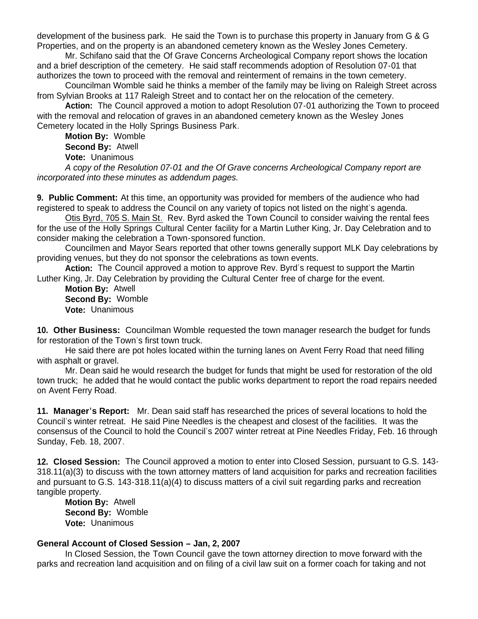development of the business park. He said the Town is to purchase this property in January from G & G Properties, and on the property is an abandoned cemetery known as the Wesley Jones Cemetery.

Mr. Schifano said that the Of Grave Concerns Archeological Company report shows the location and a brief description of the cemetery. He said staff recommends adoption of Resolution 07-01 that authorizes the town to proceed with the removal and reinterment of remains in the town cemetery.

 Councilman Womble said he thinks a member of the family may be living on Raleigh Street across from Sylvian Brooks at 117 Raleigh Street and to contact her on the relocation of the cemetery.

 **Action:** The Council approved a motion to adopt Resolution 07-01 authorizing the Town to proceed with the removal and relocation of graves in an abandoned cemetery known as the Wesley Jones Cemetery located in the Holly Springs Business Park.

 **Motion By:** Womble **Second By:** Atwell

**Vote:** Unanimous

 *A copy of the Resolution 07-01 and the Of Grave concerns Archeological Company report are incorporated into these minutes as addendum pages.*

**9. Public Comment:** At this time, an opportunity was provided for members of the audience who had registered to speak to address the Council on any variety of topics not listed on the night's agenda.

Otis Byrd, 705 S. Main St. Rev. Byrd asked the Town Council to consider waiving the rental fees for the use of the Holly Springs Cultural Center facility for a Martin Luther King, Jr. Day Celebration and to consider making the celebration a Town-sponsored function.

Councilmen and Mayor Sears reported that other towns generally support MLK Day celebrations by providing venues, but they do not sponsor the celebrations as town events.

**Action:** The Council approved a motion to approve Rev. Byrd's request to support the Martin Luther King, Jr. Day Celebration by providing the Cultural Center free of charge for the event.

 **Motion By:** Atwell **Second By:** Womble **Vote:** Unanimous

**10. Other Business:** Councilman Womble requested the town manager research the budget for funds for restoration of the Town's first town truck.

 He said there are pot holes located within the turning lanes on Avent Ferry Road that need filling with asphalt or gravel.

 Mr. Dean said he would research the budget for funds that might be used for restoration of the old town truck; he added that he would contact the public works department to report the road repairs needed on Avent Ferry Road.

**11. Manager's Report:** Mr. Dean said staff has researched the prices of several locations to hold the Council's winter retreat. He said Pine Needles is the cheapest and closest of the facilities. It was the consensus of the Council to hold the Council's 2007 winter retreat at Pine Needles Friday, Feb. 16 through Sunday, Feb. 18, 2007.

**12. Closed Session:** The Council approved a motion to enter into Closed Session, pursuant to G.S. 143- 318.11(a)(3) to discuss with the town attorney matters of land acquisition for parks and recreation facilities and pursuant to G.S. 143-318.11(a)(4) to discuss matters of a civil suit regarding parks and recreation tangible property.

 **Motion By:** Atwell **Second By:** Womble **Vote:** Unanimous

## **General Account of Closed Session – Jan, 2, 2007**

 In Closed Session, the Town Council gave the town attorney direction to move forward with the parks and recreation land acquisition and on filing of a civil law suit on a former coach for taking and not